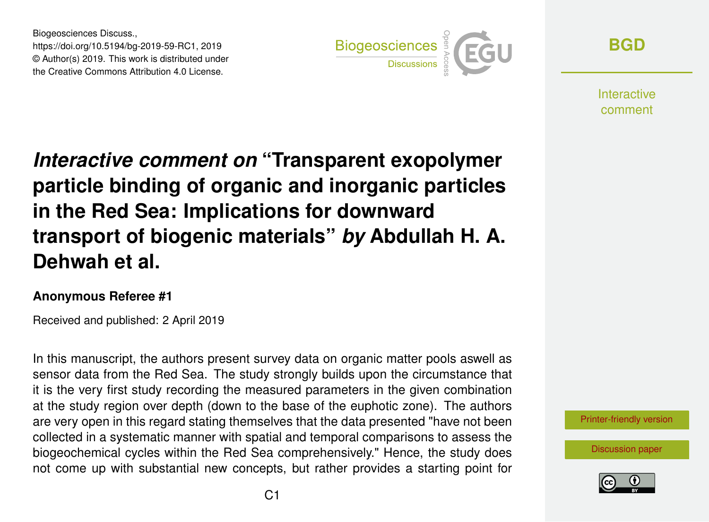Biogeosciences Discuss., https://doi.org/10.5194/bg-2019-59-RC1, 2019 © Author(s) 2019. This work is distributed under the Creative Commons Attribution 4.0 License.



**[BGD](https://www.biogeosciences-discuss.net/)**

**Interactive** comment

*Interactive comment on* **"Transparent exopolymer particle binding of organic and inorganic particles in the Red Sea: Implications for downward transport of biogenic materials"** *by* **Abdullah H. A. Dehwah et al.**

## **Anonymous Referee #1**

Received and published: 2 April 2019

In this manuscript, the authors present survey data on organic matter pools aswell as sensor data from the Red Sea. The study strongly builds upon the circumstance that it is the very first study recording the measured parameters in the given combination at the study region over depth (down to the base of the euphotic zone). The authors are very open in this regard stating themselves that the data presented "have not been collected in a systematic manner with spatial and temporal comparisons to assess the biogeochemical cycles within the Red Sea comprehensively." Hence, the study does not come up with substantial new concepts, but rather provides a starting point for



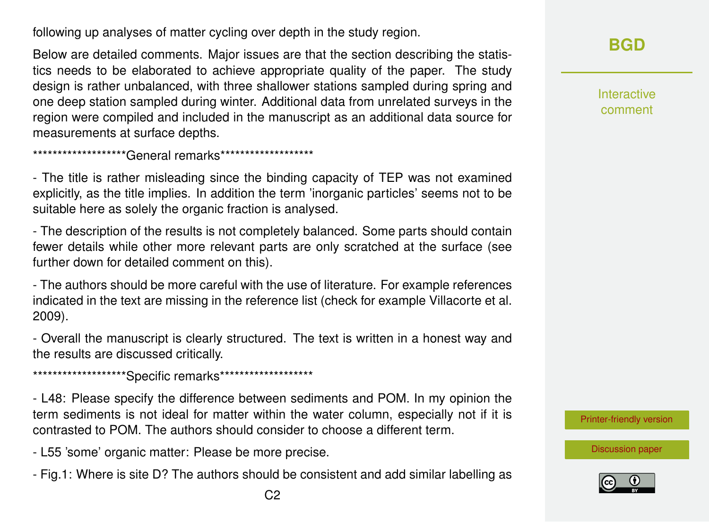following up analyses of matter cycling over depth in the study region.

Below are detailed comments. Major issues are that the section describing the statistics needs to be elaborated to achieve appropriate quality of the paper. The study design is rather unbalanced, with three shallower stations sampled during spring and one deep station sampled during winter. Additional data from unrelated surveys in the region were compiled and included in the manuscript as an additional data source for measurements at surface depths.

\*\*\*\*\*\*\*\*\*\*\*\*\*\*\*\*\*\*\*\*\*\*\*General remarks\*\*\*\*\*\*\*\*\*\*\*\*\*\*\*\*\*\*\*

- The title is rather misleading since the binding capacity of TEP was not examined explicitly, as the title implies. In addition the term 'inorganic particles' seems not to be suitable here as solely the organic fraction is analysed.

- The description of the results is not completely balanced. Some parts should contain fewer details while other more relevant parts are only scratched at the surface (see further down for detailed comment on this).

- The authors should be more careful with the use of literature. For example references indicated in the text are missing in the reference list (check for example Villacorte et al. 2009).

- Overall the manuscript is clearly structured. The text is written in a honest way and the results are discussed critically.

\*\*\*\*\*\*\*\*\*\*\*\*\*\*\*\*\*\*\*\*\*\*Specific remarks\*\*\*\*\*\*\*\*\*\*\*\*\*\*\*\*\*\*\*\*

- L48: Please specify the difference between sediments and POM. In my opinion the term sediments is not ideal for matter within the water column, especially not if it is contrasted to POM. The authors should consider to choose a different term.

- L55 'some' organic matter: Please be more precise.
- Fig.1: Where is site D? The authors should be consistent and add similar labelling as

Interactive comment

[Printer-friendly version](https://www.biogeosciences-discuss.net/bg-2019-59/bg-2019-59-RC1-print.pdf)

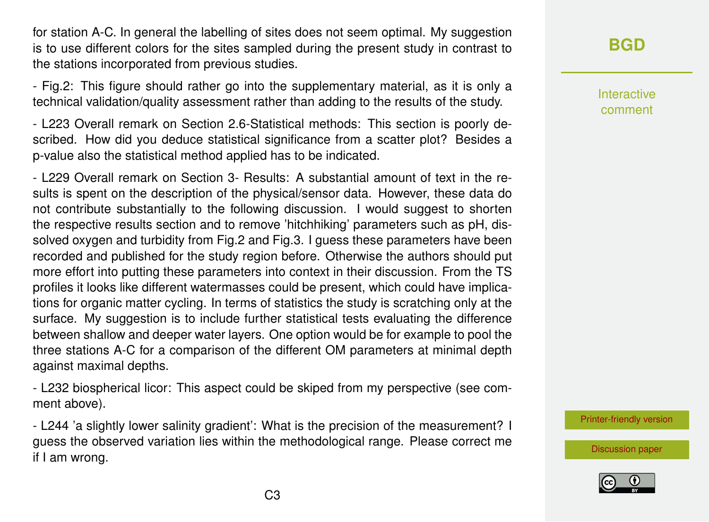for station A-C. In general the labelling of sites does not seem optimal. My suggestion is to use different colors for the sites sampled during the present study in contrast to the stations incorporated from previous studies.

- Fig.2: This figure should rather go into the supplementary material, as it is only a technical validation/quality assessment rather than adding to the results of the study.

- L223 Overall remark on Section 2.6-Statistical methods: This section is poorly described. How did you deduce statistical significance from a scatter plot? Besides a p-value also the statistical method applied has to be indicated.

- L229 Overall remark on Section 3- Results: A substantial amount of text in the results is spent on the description of the physical/sensor data. However, these data do not contribute substantially to the following discussion. I would suggest to shorten the respective results section and to remove 'hitchhiking' parameters such as pH, dissolved oxygen and turbidity from Fig.2 and Fig.3. I guess these parameters have been recorded and published for the study region before. Otherwise the authors should put more effort into putting these parameters into context in their discussion. From the TS profiles it looks like different watermasses could be present, which could have implications for organic matter cycling. In terms of statistics the study is scratching only at the surface. My suggestion is to include further statistical tests evaluating the difference between shallow and deeper water layers. One option would be for example to pool the three stations A-C for a comparison of the different OM parameters at minimal depth against maximal depths.

- L232 biospherical licor: This aspect could be skiped from my perspective (see comment above).

- L244 'a slightly lower salinity gradient': What is the precision of the measurement? I guess the observed variation lies within the methodological range. Please correct me if I am wrong.

**[BGD](https://www.biogeosciences-discuss.net/)**

Interactive comment

[Printer-friendly version](https://www.biogeosciences-discuss.net/bg-2019-59/bg-2019-59-RC1-print.pdf)

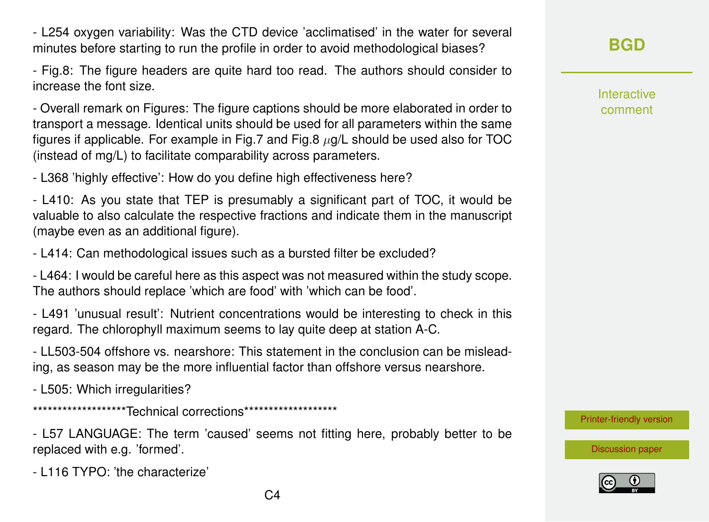- L116 TYPO: 'the characterize'

replaced with e.g. 'formed'.

- L505: Which irregularities? \*\*\*\*\*\*\*\*\*\*\*\*\*\*\*\*\*\*\*\*\*Technical corrections\*\*\*\*\*\*\*\*\*\*\*\*\*\*\*\*\*\*\*\*

- LL503-504 offshore vs. nearshore: This statement in the conclusion can be misleading, as season may be the more influential factor than offshore versus nearshore.

- L57 LANGUAGE: The term 'caused' seems not fitting here, probably better to be

 $C<sub>4</sub>$ 

regard. The chlorophyll maximum seems to lay quite deep at station A-C.

The authors should replace 'which are food' with 'which can be food'. - L491 'unusual result': Nutrient concentrations would be interesting to check in this

- L414: Can methodological issues such as a bursted filter be excluded? - L464: I would be careful here as this aspect was not measured within the study scope.

- L410: As you state that TEP is presumably a significant part of TOC, it would be valuable to also calculate the respective fractions and indicate them in the manuscript (maybe even as an additional figure).

- L368 'highly effective': How do you define high effectiveness here?

(instead of mg/L) to facilitate comparability across parameters.

- Overall remark on Figures: The figure captions should be more elaborated in order to transport a message. Identical units should be used for all parameters within the same figures if applicable. For example in Fig.7 and Fig.8  $\mu$ g/L should be used also for TOC

- Fig.8: The figure headers are quite hard too read. The authors should consider to increase the font size.

- L254 oxygen variability: Was the CTD device 'acclimatised' in the water for several minutes before starting to run the profile in order to avoid methodological biases?

**[BGD](https://www.biogeosciences-discuss.net/)**

Interactive comment

[Printer-friendly version](https://www.biogeosciences-discuss.net/bg-2019-59/bg-2019-59-RC1-print.pdf)